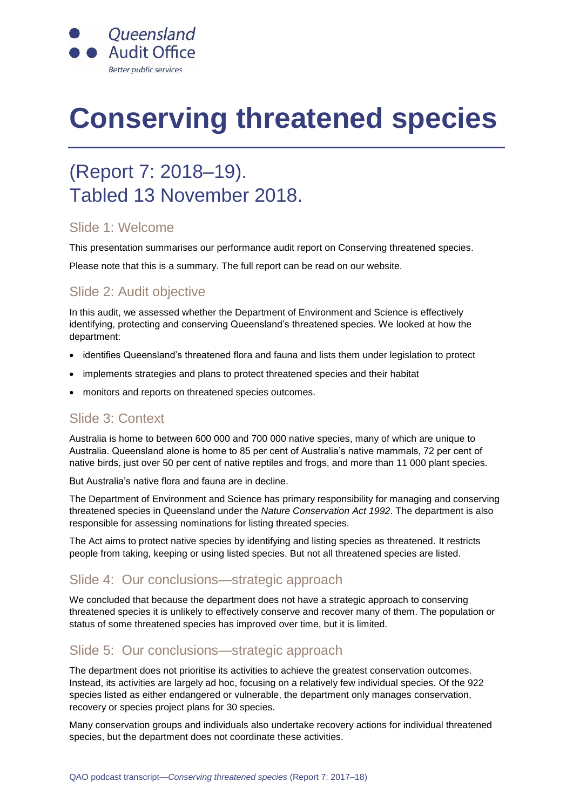

# **Conserving threatened species**

# (Report 7: 2018–19). Tabled 13 November 2018.

#### Slide 1: Welcome

This presentation summarises our performance audit report on Conserving threatened species.

Please note that this is a summary. The full report can be read on our website.

# Slide 2: Audit objective

In this audit, we assessed whether the Department of Environment and Science is effectively identifying, protecting and conserving Queensland's threatened species. We looked at how the department:

- identifies Queensland's threatened flora and fauna and lists them under legislation to protect
- implements strategies and plans to protect threatened species and their habitat
- monitors and reports on threatened species outcomes.

#### Slide 3: Context

Australia is home to between 600 000 and 700 000 native species, many of which are unique to Australia. Queensland alone is home to 85 per cent of Australia's native mammals, 72 per cent of native birds, just over 50 per cent of native reptiles and frogs, and more than 11 000 plant species.

But Australia's native flora and fauna are in decline.

The Department of Environment and Science has primary responsibility for managing and conserving threatened species in Queensland under the *Nature Conservation Act 1992*. The department is also responsible for assessing nominations for listing threated species.

The Act aims to protect native species by identifying and listing species as threatened. It restricts people from taking, keeping or using listed species. But not all threatened species are listed.

# Slide 4: Our conclusions—strategic approach

We concluded that because the department does not have a strategic approach to conserving threatened species it is unlikely to effectively conserve and recover many of them. The population or status of some threatened species has improved over time, but it is limited.

# Slide 5: Our conclusions—strategic approach

The department does not prioritise its activities to achieve the greatest conservation outcomes. Instead, its activities are largely ad hoc, focusing on a relatively few individual species. Of the 922 species listed as either endangered or vulnerable, the department only manages conservation, recovery or species project plans for 30 species.

Many conservation groups and individuals also undertake recovery actions for individual threatened species, but the department does not coordinate these activities.